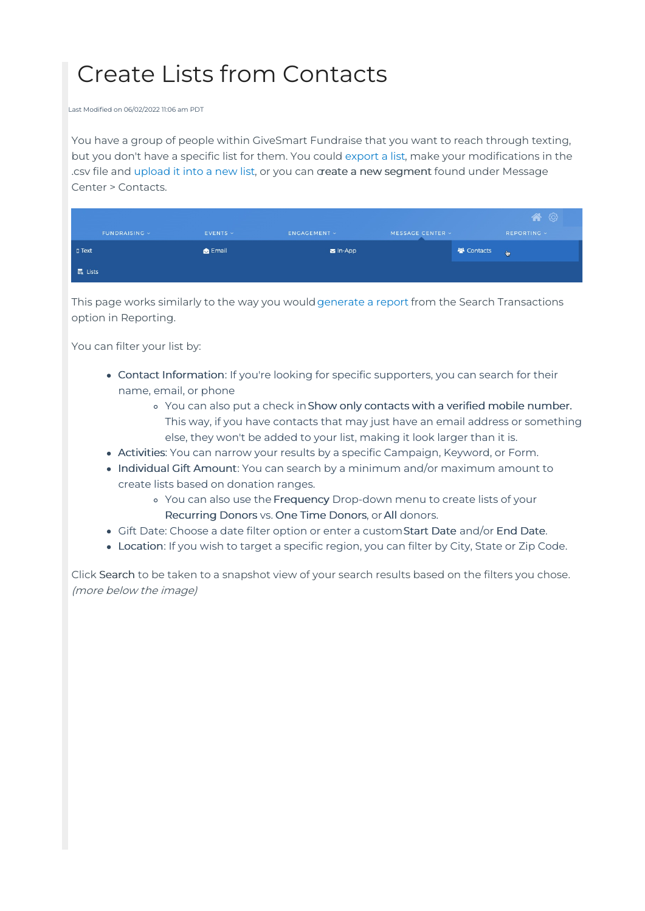## Create Lists from Contacts

Last Modified on 06/02/2022 11:06 am PDT

You have a group of people within GiveSmart Fundraise that you want to reach through texting, but you don't have a specific list for them. You could [export](http://support.mobilecause.com/help/mobile-subscribers-lists) a list, make your modifications in the .csv file and [upload](http://support.mobilecause.com/help/upload-and-validate-mobile-numbers) it into a new list, or you can create a new segment found under Message Center > Contacts.

|                |                |                        |                  |                   | 合           |
|----------------|----------------|------------------------|------------------|-------------------|-------------|
| FUNDRAISING V  | $EVENTS \sim$  | <b>ENGAGEMENT &gt;</b> | MESSAGE CENTER v |                   | REPORTING V |
| $\square$ Text | <b>B</b> Email | $\equiv$ In-App        |                  | <b>图 Contacts</b> | l to        |
| $E_0$ Lists    |                |                        |                  |                   |             |

This page works similarly to the way you would[generate](http://support.mobilecause.com/help/search-transactions) a report from the Search Transactions option in Reporting.

You can filter your list by:

- Contact Information: If you're looking for specific supporters, you can search for their name, email, or phone
	- You can also put a check inShow only contacts with a verified mobile number. This way, if you have contacts that may just have an email address or something else, they won't be added to your list, making it look larger than it is.
- Activities: You can narrow your results by a specific Campaign, Keyword, or Form.
- Individual Gift Amount: You can search by a minimum and/or maximum amount to create lists based on donation ranges.
	- You can also use the Frequency Drop-down menu to create lists of your Recurring Donors vs. One Time Donors, or All donors.
- Gift Date: Choose a date filter option or enter a customStart Date and/or End Date.
- Location: If you wish to target a specific region, you can filter by City, State or Zip Code.

Click Search to be taken to a snapshot view of your search results based on the filters you chose. (more below the image)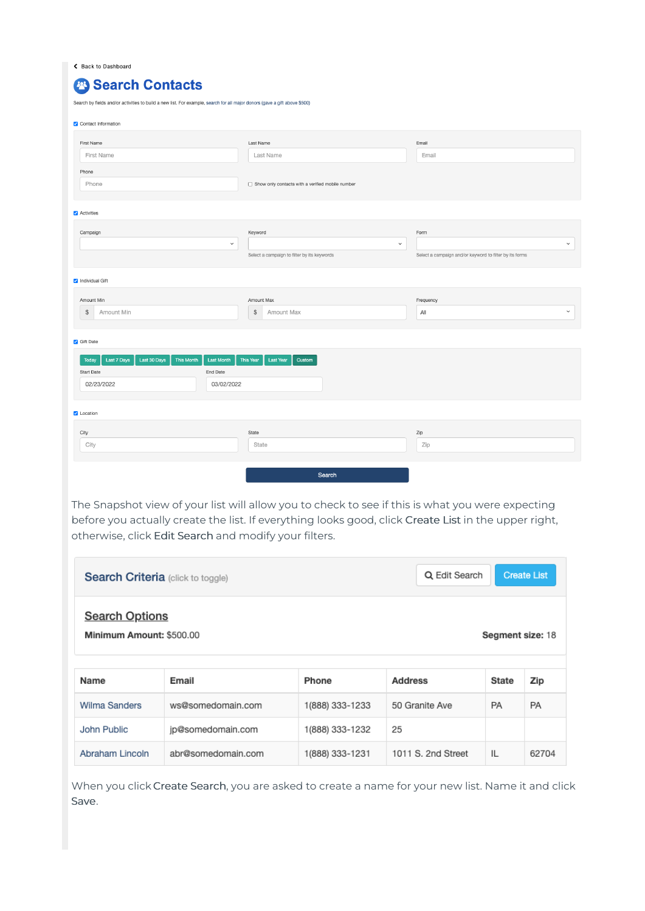Rack to Dashboard

| <sup>2</sup> Search Contacts                                                                                               |                                                  |                                                         |  |
|----------------------------------------------------------------------------------------------------------------------------|--------------------------------------------------|---------------------------------------------------------|--|
| Search by fields and/or activities to build a new list. For example, search for all major donors (gave a gift above \$500) |                                                  |                                                         |  |
| Contact Information                                                                                                        |                                                  |                                                         |  |
| First Name                                                                                                                 | Last Name                                        | Email                                                   |  |
| <b>First Name</b>                                                                                                          | Last Name                                        | Email                                                   |  |
| Phone                                                                                                                      |                                                  |                                                         |  |
| Phone                                                                                                                      | Show only contacts with a verified mobile number |                                                         |  |
|                                                                                                                            |                                                  |                                                         |  |
| Activities                                                                                                                 |                                                  |                                                         |  |
| Campaign                                                                                                                   | Keyword                                          | Form                                                    |  |
| $\checkmark$                                                                                                               | $\checkmark$                                     |                                                         |  |
|                                                                                                                            | Select a campaign to filter by its keywords      | Select a campaign and/or keyword to filter by its forms |  |
| Individual Gift                                                                                                            |                                                  |                                                         |  |
| Amount Min                                                                                                                 | Amount Max                                       | Frequency                                               |  |
| \$<br>Amount Min                                                                                                           | \$<br>Amount Max                                 | All                                                     |  |
|                                                                                                                            |                                                  |                                                         |  |

## Gift Date

| Last 30 Days<br>Last 7 Days<br>Today | This Month Last Month This Year<br>Last Year<br>Custom |
|--------------------------------------|--------------------------------------------------------|
| Start Date                           | End Date                                               |
| 02/23/2022                           | 03/02/2022                                             |
|                                      |                                                        |
| Location                             |                                                        |
| City                                 | State                                                  |
| City                                 | State                                                  |
|                                      |                                                        |
|                                      |                                                        |

 $\checkmark$ 

The Snapshot view of your list will allow you to check to see if this is what you were expecting before you actually create the list. If everything looks good, click Create List in the upper right, otherwise, click Edit Search and modify your filters.

| <b>Search Criteria</b> (click to toggle)                              | Q Edit Search      | <b>Create List</b> |                    |              |           |
|-----------------------------------------------------------------------|--------------------|--------------------|--------------------|--------------|-----------|
| <b>Search Options</b><br>Minimum Amount: \$500.00<br>Segment size: 18 |                    |                    |                    |              |           |
| Name                                                                  | Email              | Phone              | <b>Address</b>     | <b>State</b> | Zip       |
| <b>Wilma Sanders</b>                                                  | ws@somedomain.com  | 1(888) 333-1233    | 50 Granite Ave     | PA           | <b>PA</b> |
| John Public                                                           | jp@somedomain.com  | 1(888) 333-1232    | 25                 |              |           |
| Abraham Lincoln                                                       | abr@somedomain.com | 1(888) 333-1231    | 1011 S. 2nd Street | IL           | 62704     |

When you click Create Search, you are asked to create a name for your new list. Name it and click Save.